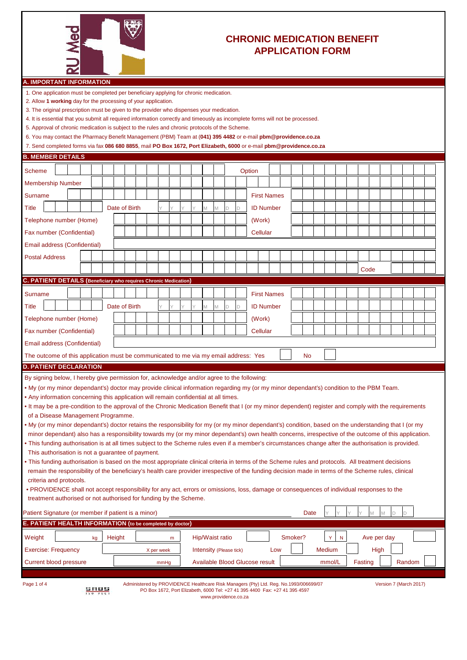

## **CHRONIC MEDICATION BENEFIT APPLICATION FORM**

| A. IMPORTANT INFORMATION |
|--------------------------|
|--------------------------|

1. One application must be completed per beneficiary applying for chronic medication.

- 2. Allow **1 working** day for the processing of your application.
- 3. The original prescription must be given to the provider who dispenses your medication.
- 4. It is essential that you submit all required information correctly and timeously as incomplete forms will not be processed.
- 5. Approval of chronic medication is subject to the rules and chronic protocols of the Scheme.
- 6. You may contact the Pharmacy Benefit Management (PBM) Team at (**041) 395 4482** or e-mail **pbm@providence.co.za**

| 7. Send completed forms via fax 086 680 8855, mail PO Box 1672, Port Elizabeth, 6000 or e-mail pbm@providence.co.za |
|---------------------------------------------------------------------------------------------------------------------|
|---------------------------------------------------------------------------------------------------------------------|

| <b>B. MEMBER DETAILS</b>                                                                                                                                                                                                                                                                                                                                                                                                                                                                                                                                                                                                                                                                                                                                                                                                                                                                                                                                                                                                                                                                                                                                                                                                                                                                                                                                                                                                                                                                                                      |             |               |            |      |  |   |                         |   |   |                                                                                                                                                                      |     |         |      |        |              |         |             |             |   |                        |  |
|-------------------------------------------------------------------------------------------------------------------------------------------------------------------------------------------------------------------------------------------------------------------------------------------------------------------------------------------------------------------------------------------------------------------------------------------------------------------------------------------------------------------------------------------------------------------------------------------------------------------------------------------------------------------------------------------------------------------------------------------------------------------------------------------------------------------------------------------------------------------------------------------------------------------------------------------------------------------------------------------------------------------------------------------------------------------------------------------------------------------------------------------------------------------------------------------------------------------------------------------------------------------------------------------------------------------------------------------------------------------------------------------------------------------------------------------------------------------------------------------------------------------------------|-------------|---------------|------------|------|--|---|-------------------------|---|---|----------------------------------------------------------------------------------------------------------------------------------------------------------------------|-----|---------|------|--------|--------------|---------|-------------|-------------|---|------------------------|--|
| <b>Scheme</b>                                                                                                                                                                                                                                                                                                                                                                                                                                                                                                                                                                                                                                                                                                                                                                                                                                                                                                                                                                                                                                                                                                                                                                                                                                                                                                                                                                                                                                                                                                                 |             |               |            |      |  |   |                         |   |   | Option                                                                                                                                                               |     |         |      |        |              |         |             |             |   |                        |  |
| <b>Membership Number</b>                                                                                                                                                                                                                                                                                                                                                                                                                                                                                                                                                                                                                                                                                                                                                                                                                                                                                                                                                                                                                                                                                                                                                                                                                                                                                                                                                                                                                                                                                                      |             |               |            |      |  |   |                         |   |   |                                                                                                                                                                      |     |         |      |        |              |         |             |             |   |                        |  |
| <b>Surname</b>                                                                                                                                                                                                                                                                                                                                                                                                                                                                                                                                                                                                                                                                                                                                                                                                                                                                                                                                                                                                                                                                                                                                                                                                                                                                                                                                                                                                                                                                                                                |             |               |            |      |  |   |                         |   |   | <b>First Names</b>                                                                                                                                                   |     |         |      |        |              |         |             |             |   |                        |  |
| <b>Title</b>                                                                                                                                                                                                                                                                                                                                                                                                                                                                                                                                                                                                                                                                                                                                                                                                                                                                                                                                                                                                                                                                                                                                                                                                                                                                                                                                                                                                                                                                                                                  |             | Date of Birth |            |      |  | M | M                       | D | D | <b>ID Number</b>                                                                                                                                                     |     |         |      |        |              |         |             |             |   |                        |  |
| Telephone number (Home)                                                                                                                                                                                                                                                                                                                                                                                                                                                                                                                                                                                                                                                                                                                                                                                                                                                                                                                                                                                                                                                                                                                                                                                                                                                                                                                                                                                                                                                                                                       |             |               |            |      |  |   |                         |   |   | (Work)                                                                                                                                                               |     |         |      |        |              |         |             |             |   |                        |  |
| Fax number (Confidential)                                                                                                                                                                                                                                                                                                                                                                                                                                                                                                                                                                                                                                                                                                                                                                                                                                                                                                                                                                                                                                                                                                                                                                                                                                                                                                                                                                                                                                                                                                     |             |               |            |      |  |   |                         |   |   | Cellular                                                                                                                                                             |     |         |      |        |              |         |             |             |   |                        |  |
| Email address (Confidential)                                                                                                                                                                                                                                                                                                                                                                                                                                                                                                                                                                                                                                                                                                                                                                                                                                                                                                                                                                                                                                                                                                                                                                                                                                                                                                                                                                                                                                                                                                  |             |               |            |      |  |   |                         |   |   |                                                                                                                                                                      |     |         |      |        |              |         |             |             |   |                        |  |
| <b>Postal Address</b>                                                                                                                                                                                                                                                                                                                                                                                                                                                                                                                                                                                                                                                                                                                                                                                                                                                                                                                                                                                                                                                                                                                                                                                                                                                                                                                                                                                                                                                                                                         |             |               |            |      |  |   |                         |   |   |                                                                                                                                                                      |     |         |      |        |              |         |             |             |   |                        |  |
|                                                                                                                                                                                                                                                                                                                                                                                                                                                                                                                                                                                                                                                                                                                                                                                                                                                                                                                                                                                                                                                                                                                                                                                                                                                                                                                                                                                                                                                                                                                               |             |               |            |      |  |   |                         |   |   |                                                                                                                                                                      |     |         |      |        |              |         | Code        |             |   |                        |  |
| C. PATIENT DETAILS (Beneficiary who requires Chronic Medication)                                                                                                                                                                                                                                                                                                                                                                                                                                                                                                                                                                                                                                                                                                                                                                                                                                                                                                                                                                                                                                                                                                                                                                                                                                                                                                                                                                                                                                                              |             |               |            |      |  |   |                         |   |   |                                                                                                                                                                      |     |         |      |        |              |         |             |             |   |                        |  |
| Surname                                                                                                                                                                                                                                                                                                                                                                                                                                                                                                                                                                                                                                                                                                                                                                                                                                                                                                                                                                                                                                                                                                                                                                                                                                                                                                                                                                                                                                                                                                                       |             |               |            |      |  |   |                         |   |   | <b>First Names</b>                                                                                                                                                   |     |         |      |        |              |         |             |             |   |                        |  |
| Title                                                                                                                                                                                                                                                                                                                                                                                                                                                                                                                                                                                                                                                                                                                                                                                                                                                                                                                                                                                                                                                                                                                                                                                                                                                                                                                                                                                                                                                                                                                         |             | Date of Birth |            |      |  | M | M                       | D | D | <b>ID Number</b>                                                                                                                                                     |     |         |      |        |              |         |             |             |   |                        |  |
| Telephone number (Home)                                                                                                                                                                                                                                                                                                                                                                                                                                                                                                                                                                                                                                                                                                                                                                                                                                                                                                                                                                                                                                                                                                                                                                                                                                                                                                                                                                                                                                                                                                       |             |               |            |      |  |   |                         |   |   | (Work)                                                                                                                                                               |     |         |      |        |              |         |             |             |   |                        |  |
| Fax number (Confidential)                                                                                                                                                                                                                                                                                                                                                                                                                                                                                                                                                                                                                                                                                                                                                                                                                                                                                                                                                                                                                                                                                                                                                                                                                                                                                                                                                                                                                                                                                                     |             |               |            |      |  |   |                         |   |   | Cellular                                                                                                                                                             |     |         |      |        |              |         |             |             |   |                        |  |
| Email address (Confidential)                                                                                                                                                                                                                                                                                                                                                                                                                                                                                                                                                                                                                                                                                                                                                                                                                                                                                                                                                                                                                                                                                                                                                                                                                                                                                                                                                                                                                                                                                                  |             |               |            |      |  |   |                         |   |   |                                                                                                                                                                      |     |         |      |        |              |         |             |             |   |                        |  |
| The outcome of this application must be communicated to me via my email address: Yes                                                                                                                                                                                                                                                                                                                                                                                                                                                                                                                                                                                                                                                                                                                                                                                                                                                                                                                                                                                                                                                                                                                                                                                                                                                                                                                                                                                                                                          |             |               |            |      |  |   |                         |   |   |                                                                                                                                                                      |     |         | No   |        |              |         |             |             |   |                        |  |
| <b>D. PATIENT DECLARATION</b>                                                                                                                                                                                                                                                                                                                                                                                                                                                                                                                                                                                                                                                                                                                                                                                                                                                                                                                                                                                                                                                                                                                                                                                                                                                                                                                                                                                                                                                                                                 |             |               |            |      |  |   |                         |   |   |                                                                                                                                                                      |     |         |      |        |              |         |             |             |   |                        |  |
| • My (or my minor dependant's) doctor may provide clinical information regarding my (or my minor dependant's) condition to the PBM Team.<br>. Any information concerning this application will remain confidential at all times.<br>. It may be a pre-condition to the approval of the Chronic Medication Benefit that I (or my minor dependent) register and comply with the requirements<br>of a Disease Management Programme.<br>. My (or my minor dependant's) doctor retains the responsibility for my (or my minor dependant's) condition, based on the understanding that I (or my<br>minor dependant) also has a responsibility towards my (or my minor dependant's) own health concerns, irrespective of the outcome of this application.<br>• This funding authorisation is at all times subject to the Scheme rules even if a member's circumstances change after the authorisation is provided.<br>This authorisation is not a guarantee of payment.<br>• This funding authorisation is based on the most appropriate clinical criteria in terms of the Scheme rules and protocols. All treatment decisions<br>remain the responsibility of the beneficiary's health care provider irrespective of the funding decision made in terms of the Scheme rules, clinical<br>criteria and protocols.<br>• PROVIDENCE shall not accept responsibility for any act, errors or omissions, loss, damage or consequences of individual responses to the<br>treatment authorised or not authorised for funding by the Scheme. |             |               |            |      |  |   |                         |   |   |                                                                                                                                                                      |     |         |      |        |              |         |             |             |   |                        |  |
| Patient Signature (or member if patient is a minor)<br>E. PATIENT HEALTH INFORMATION (to be completed by doctor)                                                                                                                                                                                                                                                                                                                                                                                                                                                                                                                                                                                                                                                                                                                                                                                                                                                                                                                                                                                                                                                                                                                                                                                                                                                                                                                                                                                                              |             |               |            |      |  |   |                         |   |   |                                                                                                                                                                      |     |         | Date |        |              | Y       | $\mathbb M$ | M           | D | D                      |  |
|                                                                                                                                                                                                                                                                                                                                                                                                                                                                                                                                                                                                                                                                                                                                                                                                                                                                                                                                                                                                                                                                                                                                                                                                                                                                                                                                                                                                                                                                                                                               |             |               |            |      |  |   |                         |   |   |                                                                                                                                                                      |     |         |      |        |              |         |             |             |   |                        |  |
| Weight                                                                                                                                                                                                                                                                                                                                                                                                                                                                                                                                                                                                                                                                                                                                                                                                                                                                                                                                                                                                                                                                                                                                                                                                                                                                                                                                                                                                                                                                                                                        | kg          | Height        |            | m    |  |   | Hip/Waist ratio         |   |   |                                                                                                                                                                      |     | Smoker? |      | Y.     | $\mathsf{N}$ |         |             | Ave per day |   |                        |  |
| <b>Exercise: Frequency</b>                                                                                                                                                                                                                                                                                                                                                                                                                                                                                                                                                                                                                                                                                                                                                                                                                                                                                                                                                                                                                                                                                                                                                                                                                                                                                                                                                                                                                                                                                                    |             |               | X per week |      |  |   | Intensity (Please tick) |   |   |                                                                                                                                                                      | Low |         |      | Medium |              |         |             | High        |   |                        |  |
| <b>Current blood pressure</b>                                                                                                                                                                                                                                                                                                                                                                                                                                                                                                                                                                                                                                                                                                                                                                                                                                                                                                                                                                                                                                                                                                                                                                                                                                                                                                                                                                                                                                                                                                 |             |               |            | mmHg |  |   |                         |   |   | Available Blood Glucose result                                                                                                                                       |     |         |      | mmol/L |              | Fasting |             |             |   | Random                 |  |
| Page 1 of 4                                                                                                                                                                                                                                                                                                                                                                                                                                                                                                                                                                                                                                                                                                                                                                                                                                                                                                                                                                                                                                                                                                                                                                                                                                                                                                                                                                                                                                                                                                                   | <u>anna</u> |               |            |      |  |   |                         |   |   | Administered by PROVIDENCE Healthcare Risk Managers (Pty) Ltd. Reg. No.1993/006699/07<br>PO Box 1672, Port Elizabeth, 6000 Tel: +27 41 395 4400 Fax: +27 41 395 4597 |     |         |      |        |              |         |             |             |   | Version 7 (March 2017) |  |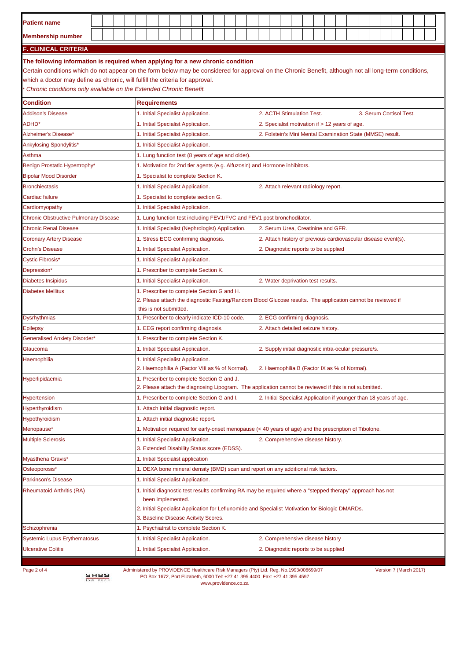| <b>Patient name</b>                                                                                                                                                                                                                                                                                                                                                                              |  |  |                                                                                                                                                                                                                                      |                                                                                                                  |  |  |  |  |  |  |  |                                                                                                              |  |  |  |                                                       |  |  |  |  |                                                                |  |  |  |                                                                    |  |  |  |  |  |  |
|--------------------------------------------------------------------------------------------------------------------------------------------------------------------------------------------------------------------------------------------------------------------------------------------------------------------------------------------------------------------------------------------------|--|--|--------------------------------------------------------------------------------------------------------------------------------------------------------------------------------------------------------------------------------------|------------------------------------------------------------------------------------------------------------------|--|--|--|--|--|--|--|--------------------------------------------------------------------------------------------------------------|--|--|--|-------------------------------------------------------|--|--|--|--|----------------------------------------------------------------|--|--|--|--------------------------------------------------------------------|--|--|--|--|--|--|
| <b>Membership number</b>                                                                                                                                                                                                                                                                                                                                                                         |  |  |                                                                                                                                                                                                                                      |                                                                                                                  |  |  |  |  |  |  |  |                                                                                                              |  |  |  |                                                       |  |  |  |  |                                                                |  |  |  |                                                                    |  |  |  |  |  |  |
| F. CLINICAL CRITERIA                                                                                                                                                                                                                                                                                                                                                                             |  |  |                                                                                                                                                                                                                                      |                                                                                                                  |  |  |  |  |  |  |  |                                                                                                              |  |  |  |                                                       |  |  |  |  |                                                                |  |  |  |                                                                    |  |  |  |  |  |  |
| The following information is required when applying for a new chronic condition<br>Certain conditions which do not appear on the form below may be considered for approval on the Chronic Benefit, although not all long-term conditions,<br>which a doctor may define as chronic, will fulfill the criteria for approval.<br>Chronic conditions only available on the Extended Chronic Benefit. |  |  |                                                                                                                                                                                                                                      |                                                                                                                  |  |  |  |  |  |  |  |                                                                                                              |  |  |  |                                                       |  |  |  |  |                                                                |  |  |  |                                                                    |  |  |  |  |  |  |
| <b>Condition</b>                                                                                                                                                                                                                                                                                                                                                                                 |  |  | <b>Requirements</b>                                                                                                                                                                                                                  |                                                                                                                  |  |  |  |  |  |  |  |                                                                                                              |  |  |  |                                                       |  |  |  |  |                                                                |  |  |  |                                                                    |  |  |  |  |  |  |
| <b>Addison's Disease</b>                                                                                                                                                                                                                                                                                                                                                                         |  |  | 1. Initial Specialist Application.                                                                                                                                                                                                   |                                                                                                                  |  |  |  |  |  |  |  |                                                                                                              |  |  |  | 2. ACTH Stimulation Test.                             |  |  |  |  |                                                                |  |  |  | 3. Serum Cortisol Test.                                            |  |  |  |  |  |  |
| ADHD*                                                                                                                                                                                                                                                                                                                                                                                            |  |  | 1. Initial Specialist Application.                                                                                                                                                                                                   |                                                                                                                  |  |  |  |  |  |  |  |                                                                                                              |  |  |  | 2. Specialist motivation if > 12 years of age.        |  |  |  |  |                                                                |  |  |  |                                                                    |  |  |  |  |  |  |
| Alzheimer's Disease*                                                                                                                                                                                                                                                                                                                                                                             |  |  | 1. Initial Specialist Application.                                                                                                                                                                                                   |                                                                                                                  |  |  |  |  |  |  |  |                                                                                                              |  |  |  |                                                       |  |  |  |  |                                                                |  |  |  | 2. Folstein's Mini Mental Examination State (MMSE) result.         |  |  |  |  |  |  |
| Ankylosing Spondylitis*                                                                                                                                                                                                                                                                                                                                                                          |  |  | 1. Initial Specialist Application.                                                                                                                                                                                                   |                                                                                                                  |  |  |  |  |  |  |  |                                                                                                              |  |  |  |                                                       |  |  |  |  |                                                                |  |  |  |                                                                    |  |  |  |  |  |  |
| Asthma                                                                                                                                                                                                                                                                                                                                                                                           |  |  | 1. Lung function test (8 years of age and older).                                                                                                                                                                                    |                                                                                                                  |  |  |  |  |  |  |  |                                                                                                              |  |  |  |                                                       |  |  |  |  |                                                                |  |  |  |                                                                    |  |  |  |  |  |  |
| Benign Prostatic Hypertrophy*                                                                                                                                                                                                                                                                                                                                                                    |  |  | 1. Motivation for 2nd tier agents (e.g. Alfuzosin) and Hormone inhibitors.                                                                                                                                                           |                                                                                                                  |  |  |  |  |  |  |  |                                                                                                              |  |  |  |                                                       |  |  |  |  |                                                                |  |  |  |                                                                    |  |  |  |  |  |  |
| <b>Bipolar Mood Disorder</b>                                                                                                                                                                                                                                                                                                                                                                     |  |  | 1. Specialist to complete Section K.                                                                                                                                                                                                 |                                                                                                                  |  |  |  |  |  |  |  |                                                                                                              |  |  |  |                                                       |  |  |  |  |                                                                |  |  |  |                                                                    |  |  |  |  |  |  |
| <b>Bronchiectasis</b>                                                                                                                                                                                                                                                                                                                                                                            |  |  | 1. Initial Specialist Application.                                                                                                                                                                                                   |                                                                                                                  |  |  |  |  |  |  |  |                                                                                                              |  |  |  | 2. Attach relevant radiology report.                  |  |  |  |  |                                                                |  |  |  |                                                                    |  |  |  |  |  |  |
| Cardiac failure                                                                                                                                                                                                                                                                                                                                                                                  |  |  | 1. Specialist to complete section G.                                                                                                                                                                                                 |                                                                                                                  |  |  |  |  |  |  |  |                                                                                                              |  |  |  |                                                       |  |  |  |  |                                                                |  |  |  |                                                                    |  |  |  |  |  |  |
| Cardiomyopathy                                                                                                                                                                                                                                                                                                                                                                                   |  |  | 1. Initial Specialist Application.                                                                                                                                                                                                   |                                                                                                                  |  |  |  |  |  |  |  |                                                                                                              |  |  |  |                                                       |  |  |  |  |                                                                |  |  |  |                                                                    |  |  |  |  |  |  |
| <b>Chronic Obstructive Pulmonary Disease</b>                                                                                                                                                                                                                                                                                                                                                     |  |  |                                                                                                                                                                                                                                      |                                                                                                                  |  |  |  |  |  |  |  |                                                                                                              |  |  |  |                                                       |  |  |  |  |                                                                |  |  |  |                                                                    |  |  |  |  |  |  |
| <b>Chronic Renal Disease</b>                                                                                                                                                                                                                                                                                                                                                                     |  |  | 1. Initial Specialist (Nephrologist) Application.                                                                                                                                                                                    |                                                                                                                  |  |  |  |  |  |  |  | 1. Lung function test including FEV1/FVC and FEV1 post bronchodilator.<br>2. Serum Urea, Creatinine and GFR. |  |  |  |                                                       |  |  |  |  |                                                                |  |  |  |                                                                    |  |  |  |  |  |  |
| <b>Coronary Artery Disease</b>                                                                                                                                                                                                                                                                                                                                                                   |  |  | 1. Stress ECG confirming diagnosis.                                                                                                                                                                                                  |                                                                                                                  |  |  |  |  |  |  |  |                                                                                                              |  |  |  |                                                       |  |  |  |  | 2. Attach history of previous cardiovascular disease event(s). |  |  |  |                                                                    |  |  |  |  |  |  |
| Crohn's Disease                                                                                                                                                                                                                                                                                                                                                                                  |  |  |                                                                                                                                                                                                                                      |                                                                                                                  |  |  |  |  |  |  |  |                                                                                                              |  |  |  |                                                       |  |  |  |  |                                                                |  |  |  |                                                                    |  |  |  |  |  |  |
| Cystic Fibrosis*                                                                                                                                                                                                                                                                                                                                                                                 |  |  |                                                                                                                                                                                                                                      | 1. Initial Specialist Application.<br>2. Diagnostic reports to be supplied<br>1. Initial Specialist Application. |  |  |  |  |  |  |  |                                                                                                              |  |  |  |                                                       |  |  |  |  |                                                                |  |  |  |                                                                    |  |  |  |  |  |  |
| Depression*                                                                                                                                                                                                                                                                                                                                                                                      |  |  |                                                                                                                                                                                                                                      |                                                                                                                  |  |  |  |  |  |  |  |                                                                                                              |  |  |  |                                                       |  |  |  |  |                                                                |  |  |  |                                                                    |  |  |  |  |  |  |
| Diabetes Insipidus                                                                                                                                                                                                                                                                                                                                                                               |  |  | 1. Prescriber to complete Section K.<br>1. Initial Specialist Application.<br>2. Water deprivation test results.                                                                                                                     |                                                                                                                  |  |  |  |  |  |  |  |                                                                                                              |  |  |  |                                                       |  |  |  |  |                                                                |  |  |  |                                                                    |  |  |  |  |  |  |
| <b>Diabetes Mellitus</b>                                                                                                                                                                                                                                                                                                                                                                         |  |  | 1. Prescriber to complete Section G and H.<br>2. Please attach the diagnostic Fasting/Random Blood Glucose results. The application cannot be reviewed if<br>this is not submitted.                                                  |                                                                                                                  |  |  |  |  |  |  |  |                                                                                                              |  |  |  |                                                       |  |  |  |  |                                                                |  |  |  |                                                                    |  |  |  |  |  |  |
| <b>Dysrhythmias</b>                                                                                                                                                                                                                                                                                                                                                                              |  |  | 1. Prescriber to clearly indicate ICD-10 code.                                                                                                                                                                                       |                                                                                                                  |  |  |  |  |  |  |  |                                                                                                              |  |  |  | 2. ECG confirming diagnosis.                          |  |  |  |  |                                                                |  |  |  |                                                                    |  |  |  |  |  |  |
| Epilepsy                                                                                                                                                                                                                                                                                                                                                                                         |  |  | 1. EEG report confirming diagnosis.                                                                                                                                                                                                  |                                                                                                                  |  |  |  |  |  |  |  |                                                                                                              |  |  |  | 2. Attach detailed seizure history.                   |  |  |  |  |                                                                |  |  |  |                                                                    |  |  |  |  |  |  |
| <b>Generalised Anxiety Disorder*</b>                                                                                                                                                                                                                                                                                                                                                             |  |  | 1. Prescriber to complete Section K.                                                                                                                                                                                                 |                                                                                                                  |  |  |  |  |  |  |  |                                                                                                              |  |  |  |                                                       |  |  |  |  |                                                                |  |  |  |                                                                    |  |  |  |  |  |  |
| Glaucoma                                                                                                                                                                                                                                                                                                                                                                                         |  |  | 1. Initial Specialist Application.                                                                                                                                                                                                   |                                                                                                                  |  |  |  |  |  |  |  |                                                                                                              |  |  |  | 2. Supply initial diagnostic intra-ocular pressure/s. |  |  |  |  |                                                                |  |  |  |                                                                    |  |  |  |  |  |  |
| Haemophilia                                                                                                                                                                                                                                                                                                                                                                                      |  |  | 1. Initial Specialist Application.<br>2. Haemophilia A (Factor VIII as % of Normal).                                                                                                                                                 |                                                                                                                  |  |  |  |  |  |  |  |                                                                                                              |  |  |  | 2. Haemophilia B (Factor IX as % of Normal).          |  |  |  |  |                                                                |  |  |  |                                                                    |  |  |  |  |  |  |
| Hyperlipidaemia                                                                                                                                                                                                                                                                                                                                                                                  |  |  | 1. Prescriber to complete Section G and J.                                                                                                                                                                                           |                                                                                                                  |  |  |  |  |  |  |  |                                                                                                              |  |  |  |                                                       |  |  |  |  |                                                                |  |  |  |                                                                    |  |  |  |  |  |  |
|                                                                                                                                                                                                                                                                                                                                                                                                  |  |  | 2. Please attach the diagnosing Lipogram. The application cannot be reviewed if this is not submitted.                                                                                                                               |                                                                                                                  |  |  |  |  |  |  |  |                                                                                                              |  |  |  |                                                       |  |  |  |  |                                                                |  |  |  |                                                                    |  |  |  |  |  |  |
| Hypertension                                                                                                                                                                                                                                                                                                                                                                                     |  |  | 1. Prescriber to complete Section G and I.                                                                                                                                                                                           |                                                                                                                  |  |  |  |  |  |  |  |                                                                                                              |  |  |  |                                                       |  |  |  |  |                                                                |  |  |  | 2. Initial Specialist Application if younger than 18 years of age. |  |  |  |  |  |  |
| Hyperthyroidism                                                                                                                                                                                                                                                                                                                                                                                  |  |  | 1. Attach initial diagnostic report.                                                                                                                                                                                                 |                                                                                                                  |  |  |  |  |  |  |  |                                                                                                              |  |  |  |                                                       |  |  |  |  |                                                                |  |  |  |                                                                    |  |  |  |  |  |  |
| Hypothyroidism                                                                                                                                                                                                                                                                                                                                                                                   |  |  | 1. Attach initial diagnostic report.                                                                                                                                                                                                 |                                                                                                                  |  |  |  |  |  |  |  |                                                                                                              |  |  |  |                                                       |  |  |  |  |                                                                |  |  |  |                                                                    |  |  |  |  |  |  |
| Menopause*                                                                                                                                                                                                                                                                                                                                                                                       |  |  | 1. Motivation required for early-onset menopause (< 40 years of age) and the prescription of Tibolone.                                                                                                                               |                                                                                                                  |  |  |  |  |  |  |  |                                                                                                              |  |  |  |                                                       |  |  |  |  |                                                                |  |  |  |                                                                    |  |  |  |  |  |  |
| <b>Multiple Sclerosis</b>                                                                                                                                                                                                                                                                                                                                                                        |  |  | 1. Initial Specialist Application.<br>3. Extended Disability Status score (EDSS).                                                                                                                                                    |                                                                                                                  |  |  |  |  |  |  |  |                                                                                                              |  |  |  | 2. Comprehensive disease history.                     |  |  |  |  |                                                                |  |  |  |                                                                    |  |  |  |  |  |  |
| Myasthena Gravis*                                                                                                                                                                                                                                                                                                                                                                                |  |  | 1. Initial Specialist application                                                                                                                                                                                                    |                                                                                                                  |  |  |  |  |  |  |  |                                                                                                              |  |  |  |                                                       |  |  |  |  |                                                                |  |  |  |                                                                    |  |  |  |  |  |  |
| Osteoporosis*                                                                                                                                                                                                                                                                                                                                                                                    |  |  | 1. DEXA bone mineral density (BMD) scan and report on any additional risk factors.                                                                                                                                                   |                                                                                                                  |  |  |  |  |  |  |  |                                                                                                              |  |  |  |                                                       |  |  |  |  |                                                                |  |  |  |                                                                    |  |  |  |  |  |  |
| <b>Parkinson's Disease</b>                                                                                                                                                                                                                                                                                                                                                                       |  |  | 1. Initial Specialist Application.                                                                                                                                                                                                   |                                                                                                                  |  |  |  |  |  |  |  |                                                                                                              |  |  |  |                                                       |  |  |  |  |                                                                |  |  |  |                                                                    |  |  |  |  |  |  |
| Rheumatoid Arthritis (RA)                                                                                                                                                                                                                                                                                                                                                                        |  |  | 1. Initial diagnostic test results confirming RA may be required where a "stepped therapy" approach has not<br>been implemented.<br>2. Initial Specialist Application for Leflunomide and Specialist Motivation for Biologic DMARDs. |                                                                                                                  |  |  |  |  |  |  |  |                                                                                                              |  |  |  |                                                       |  |  |  |  |                                                                |  |  |  |                                                                    |  |  |  |  |  |  |
|                                                                                                                                                                                                                                                                                                                                                                                                  |  |  | 3. Baseline Disease Acitvity Scores.                                                                                                                                                                                                 |                                                                                                                  |  |  |  |  |  |  |  |                                                                                                              |  |  |  |                                                       |  |  |  |  |                                                                |  |  |  |                                                                    |  |  |  |  |  |  |
| Schizophrenia                                                                                                                                                                                                                                                                                                                                                                                    |  |  | 1. Psychiatrist to complete Section K.                                                                                                                                                                                               |                                                                                                                  |  |  |  |  |  |  |  |                                                                                                              |  |  |  |                                                       |  |  |  |  |                                                                |  |  |  |                                                                    |  |  |  |  |  |  |
| <b>Systemic Lupus Erythematosus</b>                                                                                                                                                                                                                                                                                                                                                              |  |  | 1. Initial Specialist Application.                                                                                                                                                                                                   |                                                                                                                  |  |  |  |  |  |  |  |                                                                                                              |  |  |  | 2. Comprehensive disease history                      |  |  |  |  |                                                                |  |  |  |                                                                    |  |  |  |  |  |  |
| <b>Ulcerative Colitis</b>                                                                                                                                                                                                                                                                                                                                                                        |  |  | 1. Initial Specialist Application.                                                                                                                                                                                                   |                                                                                                                  |  |  |  |  |  |  |  |                                                                                                              |  |  |  | 2. Diagnostic reports to be supplied                  |  |  |  |  |                                                                |  |  |  |                                                                    |  |  |  |  |  |  |
|                                                                                                                                                                                                                                                                                                                                                                                                  |  |  |                                                                                                                                                                                                                                      |                                                                                                                  |  |  |  |  |  |  |  |                                                                                                              |  |  |  |                                                       |  |  |  |  |                                                                |  |  |  |                                                                    |  |  |  |  |  |  |

Page 2 of 4 Administered by PROVIDENCE Healthcare Risk Managers (Pty) Ltd. Reg. No.1993/006699/07 Version 7 (March 2017) **PO Box 1672, Port Elizabeth, 6000 Tel: +27 41 395 4400 Fax: +27 41 395 4597** PO Box 1672, Port Elizabeth COVIDENCE relations were visited by PO Box 1672, Port Elizabeth 6000 Tel: +27 41 395<br>www.providence.co.za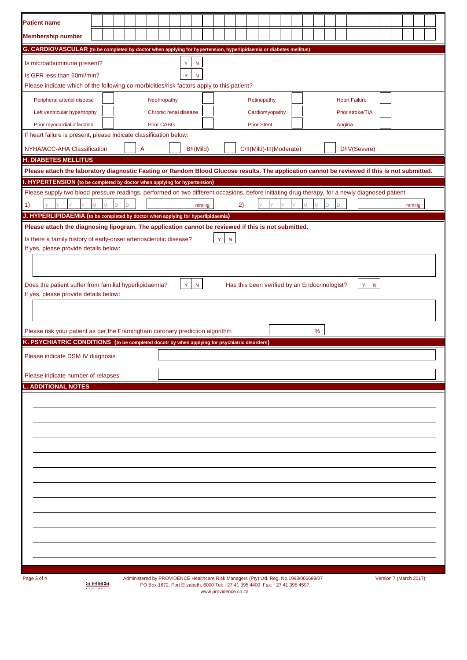| <b>Patient name</b>                                                                                                                                                                                                                                        |                    |   |   |   |                   |                       |           |   |                                                                                       |                          |  |   |   |   |        |                      |  |  |                        |  |
|------------------------------------------------------------------------------------------------------------------------------------------------------------------------------------------------------------------------------------------------------------|--------------------|---|---|---|-------------------|-----------------------|-----------|---|---------------------------------------------------------------------------------------|--------------------------|--|---|---|---|--------|----------------------|--|--|------------------------|--|
|                                                                                                                                                                                                                                                            |                    |   |   |   |                   |                       |           |   |                                                                                       |                          |  |   |   |   |        |                      |  |  |                        |  |
| <b>Membership number</b>                                                                                                                                                                                                                                   |                    |   |   |   |                   |                       |           |   |                                                                                       |                          |  |   |   |   |        |                      |  |  |                        |  |
| G. CARDIOVASCULAR (to be completed by doctor when applying for hypertension, hyperlipidaemia or diabetes mellitus)                                                                                                                                         |                    |   |   |   |                   |                       |           |   |                                                                                       |                          |  |   |   |   |        |                      |  |  |                        |  |
| Is microalbuminuria present?                                                                                                                                                                                                                               |                    |   |   |   |                   | Y                     | N         |   |                                                                                       |                          |  |   |   |   |        |                      |  |  |                        |  |
| Is GFR less than 60ml/min?                                                                                                                                                                                                                                 |                    |   |   |   |                   |                       |           |   |                                                                                       |                          |  |   |   |   |        |                      |  |  |                        |  |
| Please indicate which of the following co-morbidities/risk factors apply to this patient?                                                                                                                                                                  |                    |   |   |   |                   |                       |           |   |                                                                                       |                          |  |   |   |   |        |                      |  |  |                        |  |
| Peripheral arterial disease                                                                                                                                                                                                                                |                    |   |   |   | Nephropathy       |                       |           |   |                                                                                       | Retinopathy              |  |   |   |   |        | <b>Heart Failure</b> |  |  |                        |  |
| Left ventricular hypertrophy                                                                                                                                                                                                                               |                    |   |   |   |                   | Chronic renal disease |           |   |                                                                                       | Cardiomyopathy           |  |   |   |   |        | Prior stroke/TIA     |  |  |                        |  |
| Prior myocardial infarction                                                                                                                                                                                                                                |                    |   |   |   | <b>Prior CABG</b> |                       |           |   |                                                                                       | <b>Prior Stent</b>       |  |   |   |   | Angina |                      |  |  |                        |  |
| If heart failure is present, please indicate classification below:                                                                                                                                                                                         |                    |   |   |   |                   |                       |           |   |                                                                                       |                          |  |   |   |   |        |                      |  |  |                        |  |
| NYHA/ACC-AHA Classification                                                                                                                                                                                                                                |                    |   |   | A |                   |                       | B/I(Mild) |   |                                                                                       | C/II(Mild)-III(Moderate) |  |   |   |   |        | D/IV(Severe)         |  |  |                        |  |
| <b>H. DIABETES MELLITUS</b>                                                                                                                                                                                                                                |                    |   |   |   |                   |                       |           |   |                                                                                       |                          |  |   |   |   |        |                      |  |  |                        |  |
| Please attach the laboratory diagnostic Fasting or Random Blood Glucose results. The application cannot be reviewed if this is not submitted.                                                                                                              |                    |   |   |   |                   |                       |           |   |                                                                                       |                          |  |   |   |   |        |                      |  |  |                        |  |
| I. HYPERTENSION (to be completed by doctor when applying for hypertension)                                                                                                                                                                                 |                    |   |   |   |                   |                       |           |   |                                                                                       |                          |  |   |   |   |        |                      |  |  |                        |  |
| Please supply two blood pressure readings, performed on two different occasions, before initiating drug therapy, for a newly diagnosed patient.                                                                                                            |                    |   |   |   |                   |                       |           |   |                                                                                       |                          |  |   |   |   |        |                      |  |  |                        |  |
| 1)                                                                                                                                                                                                                                                         | M                  | M | D |   |                   |                       | mmHg      |   | 2)                                                                                    | Y                        |  | M | M | D | D      |                      |  |  | mmHg                   |  |
| J. HYPERLIPIDAEMIA (to be completed by doctor when applying for hyperlipidaemia)<br>Please attach the diagnosing lipogram. The application cannot be reviewed if this is not submitted.                                                                    |                    |   |   |   |                   |                       |           |   |                                                                                       |                          |  |   |   |   |        |                      |  |  |                        |  |
|                                                                                                                                                                                                                                                            |                    |   |   |   |                   |                       |           |   |                                                                                       |                          |  |   |   |   |        |                      |  |  |                        |  |
| Is there a family history of early-onset arteriosclerotic disease?<br>If yes, please provide details below:                                                                                                                                                |                    |   |   |   |                   |                       |           | Y | $\mathsf{N}$                                                                          |                          |  |   |   |   |        |                      |  |  |                        |  |
|                                                                                                                                                                                                                                                            |                    |   |   |   |                   |                       |           |   |                                                                                       |                          |  |   |   |   |        |                      |  |  |                        |  |
| If yes, please provide details below:<br>Please risk your patient as per the Framingham coronary prediction algorithm<br>K. PSYCHIATRIC CONDITIONS (to be completed docotr by when applying for psychiatric disorders)<br>Please indicate DSM IV diagnosis |                    |   |   |   |                   |                       |           |   |                                                                                       |                          |  |   | % |   |        |                      |  |  |                        |  |
| Please indicate number of relapses<br><b>ADDITIONAL NOTES</b>                                                                                                                                                                                              |                    |   |   |   |                   |                       |           |   |                                                                                       |                          |  |   |   |   |        |                      |  |  |                        |  |
|                                                                                                                                                                                                                                                            |                    |   |   |   |                   |                       |           |   |                                                                                       |                          |  |   |   |   |        |                      |  |  |                        |  |
| Page 3 of 4                                                                                                                                                                                                                                                |                    |   |   |   |                   |                       |           |   | Administered by PROVIDENCE Healthcare Risk Managers (Pty) Ltd. Reg. No.1993/006699/07 |                          |  |   |   |   |        |                      |  |  | Version 7 (March 2017) |  |
|                                                                                                                                                                                                                                                            | 5 H B S<br>130.900 |   |   |   |                   |                       |           |   | PO Box 1672, Port Elizabeth, 6000 Tel: +27 41 395 4400 Fax: +27 41 395 4597           |                          |  |   |   |   |        |                      |  |  |                        |  |

www.providence.co.za